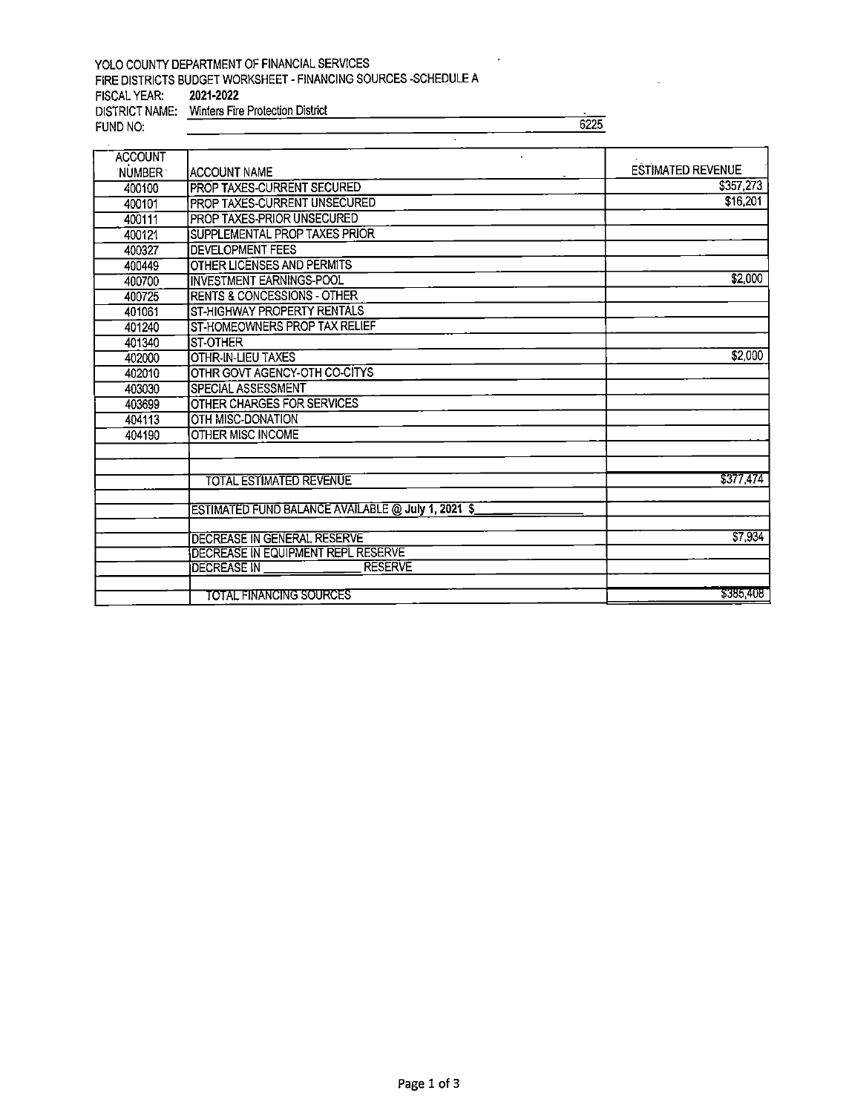## YOLO COUNTY DEPARTMENT OF FINANCIAL SERVICES FIRE DISTRICTS BUDGET WORKSHEET - FINANCING SOURCES -SCHEDULE A FISCAL YEAR: 2021-2022 FISCAL YEAR: 2021-2022 DISTRICT NAME; Winters Fire Protection District

FUND NO: 6225

| <b>ACCOUNT</b><br>'NUMBER " | IACCOUNT NAME                                      | <b>ESTIMATED REVENUE</b> |
|-----------------------------|----------------------------------------------------|--------------------------|
|                             | <b>PROP TAXES-CURRENT SECURED</b>                  | \$357,273                |
| 400100                      |                                                    | \$16,201                 |
| 400101                      | PROP TAXES-CURRENT UNSECURED                       |                          |
| 400111                      | PROP TAXES-PRIOR UNSECURED                         |                          |
| 400121                      | SUPPLEMENTAL PROP TAXES PRIOR                      |                          |
| 400327                      | <b>DEVELOPMENT FEES</b>                            |                          |
| 400449                      | OTHER LICENSES AND PERMITS                         |                          |
| 400700                      | <b>INVESTMENT EARNINGS-POOL</b>                    | \$2,000                  |
| 400725                      | <b>RENTS &amp; CONCESSIONS - OTHER</b>             |                          |
| 401061                      | ST-HIGHWAY PROPERTY RENTALS                        |                          |
| 401240                      | ST-HOMEOWNERS PROP TAX RELIEF                      |                          |
| 401340                      | IST-OTHER                                          |                          |
| 402000                      | <b>OTHR-IN-LIEU TAXES</b>                          | \$2,000                  |
| 402010                      | OTHR GOVT AGENCY-OTH CO-CITYS                      |                          |
| 403030                      | SPECIAL ASSESSMENT                                 |                          |
| 403699                      | OTHER CHARGES FOR SERVICES                         |                          |
| 404113                      | OTH MISC-DONATION                                  |                          |
| 404190                      | <b>OTHER MISC INCOME</b>                           |                          |
|                             |                                                    |                          |
|                             |                                                    |                          |
|                             | <b>TOTAL ESTIMATED REVENUE</b>                     | \$377,474                |
|                             | ESTIMATED FUND BALANCE AVAILABLE @ July 1, 2021 \$ |                          |
|                             |                                                    |                          |
|                             | DECREASE IN GENERAL RESERVE                        | \$7,934                  |
|                             | DECREASE IN EQUIPMENT REPL RESERVE                 |                          |
|                             | <b>RESERVE</b><br>DECREASE IN                      |                          |
|                             | TOTAL FINANCING SOURCES                            | \$385,408                |
|                             |                                                    |                          |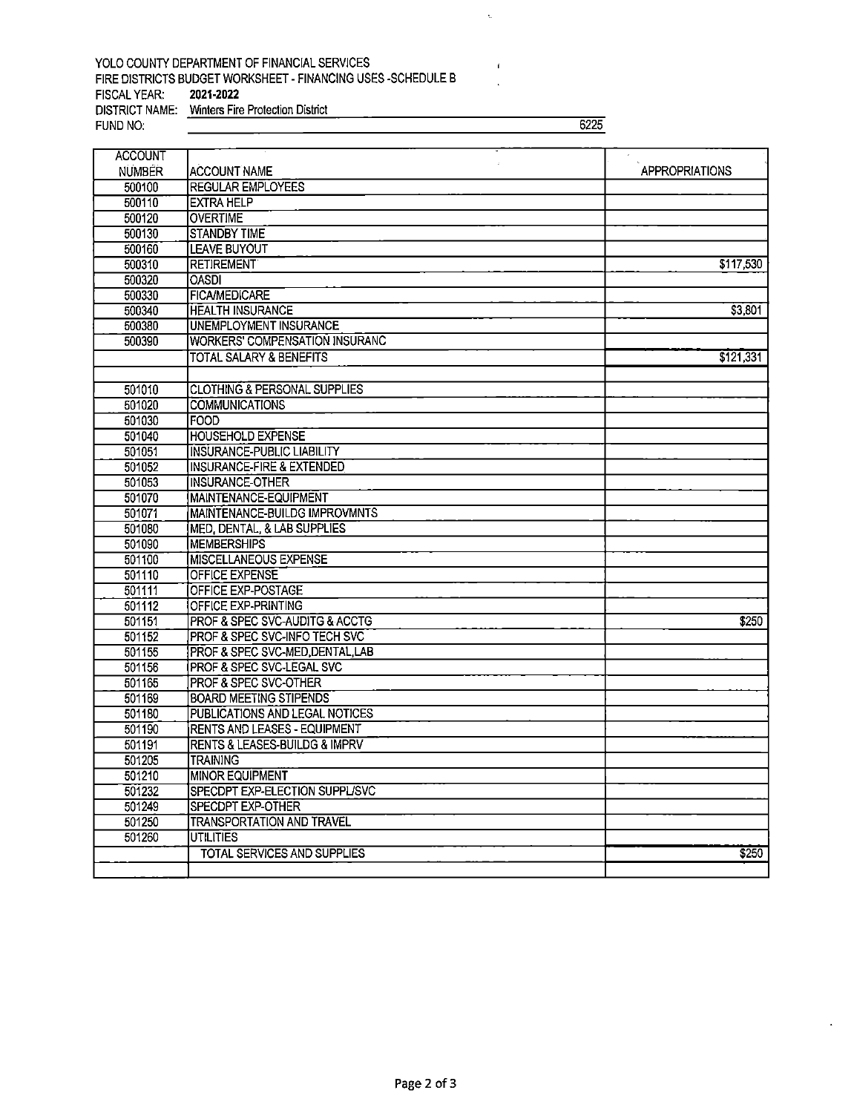## YOLO COUNTY DEPARTMENT OF FINANCIAL SERVICES FIRE DISTRICTS BUDGET WORKSHEET - FINANCING USES -SCHEDULE B<br>FISCAL YEAR: 2021-2022 FISCAL YEAR: DISTRICT NAME: Winters Fire Protection District<br>FUND NO:

FUND NO: 6225

 $\zeta$ 

 $\mathbf{1}$ 

| <b>ACCOUNT</b>   |                                                |                       |
|------------------|------------------------------------------------|-----------------------|
| <b>NUMBER</b>    | ACCOUNT NAME                                   | <b>APPROPRIATIONS</b> |
| 500100           | <b>REGULAR EMPLOYEES</b>                       |                       |
| 500110           | <b>EXTRA HELP</b>                              |                       |
| 500120           | <b>OVERTIME</b>                                |                       |
| 500130           | <b>STANDBY TIME</b>                            |                       |
| 500160           | <b>LEAVE BUYOUT</b>                            |                       |
| 500310           | <b>RETIREMENT</b>                              | \$117,530             |
| 500320           | <b>OASDI</b>                                   |                       |
| 500330           | <b>FICA/MEDICARE</b>                           |                       |
| 500340           | <b>HEALTH INSURANCE</b>                        | \$3,801               |
| 500380           | <b>UNEMPLOYMENT INSURANCE</b>                  |                       |
| 500390           | WORKERS' COMPENSATION INSURANC                 |                       |
|                  | TOTAL SALARY & BENEFITS                        | \$121,331             |
|                  |                                                |                       |
| 501010           | <b>CLOTHING &amp; PERSONAL SUPPLIES</b>        |                       |
| 501020           | <b>COMMUNICATIONS</b>                          |                       |
| 501030           | <b>FOOD</b>                                    |                       |
| 501040           | <b>HOUSEHOLD EXPENSE</b>                       |                       |
| 501051           | <b>INSURANCE-PUBLIC LIABILITY</b>              |                       |
| 501052           | INSURANCE-FIRE & EXTENDED                      |                       |
| 501053           | INSURANCE-OTHER                                |                       |
| 501070           | MAINTENANCE-EQUIPMENT                          |                       |
| 501071           | <b>MAINTENANCE-BUILDG IMPROVMNTS</b>           |                       |
| 501080           | MED, DENTAL, & LAB SUPPLIES                    |                       |
| 501090           | <b>MEMBERSHIPS</b>                             |                       |
| 501100           | MISCELLANEOUS EXPENSE<br><b>OFFICE EXPENSE</b> |                       |
| 501110           | OFFICE EXP-POSTAGE                             |                       |
| 501111<br>501112 | OFFICE EXP-PRINTING                            |                       |
| 501151           | <b>PROF &amp; SPEC SVC-AUDITG &amp; ACCTG</b>  | \$250                 |
| 501152           | PROF & SPEC SVC-INFO TECH SVC                  |                       |
| 501155           | PROF & SPEC SVC-MED, DENTAL, LAB               |                       |
| 501156           | <b>PROF &amp; SPEC SVC-LEGAL SVC</b>           |                       |
| 501165           | PROF & SPEC SVC-OTHER                          |                       |
| 501169           | <b>BOARD MEETING STIPENDS</b>                  |                       |
| 501180           | PUBLICATIONS AND LEGAL NOTICES                 |                       |
| 501190           | <b>RENTS AND LEASES - EQUIPMENT</b>            |                       |
| 501191           | <b>RENTS &amp; LEASES-BUILDG &amp; IMPRV</b>   |                       |
| 501205           | <b>TRAINING</b>                                |                       |
| 501210           | <b>MINOR EQUIPMENT</b>                         |                       |
| 501232           | SPECDPT EXP-ELECTION SUPPL/SVC                 |                       |
| 501249           | <b>SPECDPT EXP-OTHER</b>                       |                       |
| 501250           | <b>TRANSPORTATION AND TRAVEL</b>               |                       |
| 501260           | <b>UTILITIES</b>                               |                       |
|                  | TOTAL SERVICES AND SUPPLIES                    | \$250                 |
|                  |                                                |                       |
|                  |                                                |                       |

 $\ddot{\phantom{0}}$